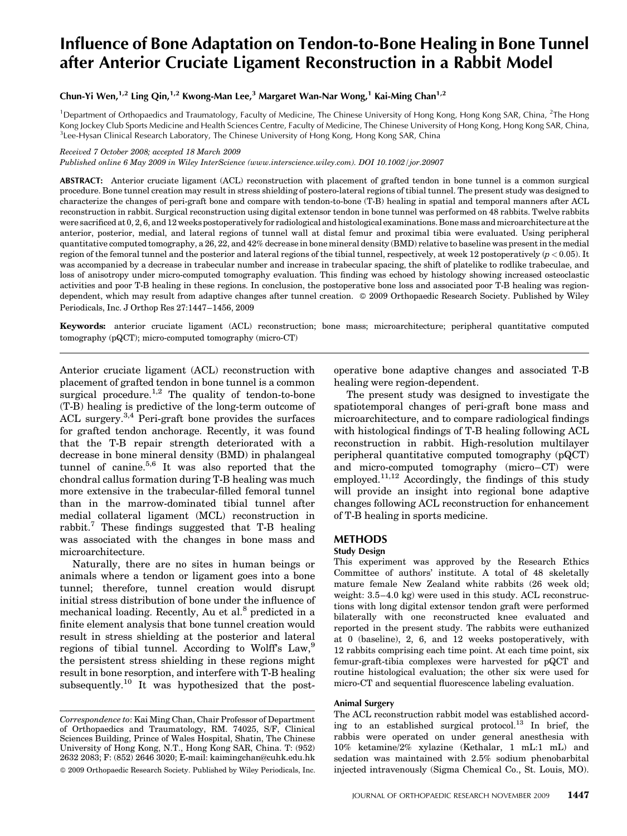# Influence of Bone Adaptation on Tendon-to-Bone Healing in Bone Tunnel after Anterior Cruciate Ligament Reconstruction in a Rabbit Model

# Chun-Yi Wen,<sup>1,2</sup> Ling Qin,<sup>1,2</sup> Kwong-Man Lee,<sup>3</sup> Margaret Wan-Nar Wong,<sup>1</sup> Kai-Ming Chan<sup>1,2</sup>

<sup>1</sup>Department of Orthopaedics and Traumatology, Faculty of Medicine, The Chinese University of Hong Kong, Hong Kong SAR, China, <sup>2</sup>The Hong Kong Jockey Club Sports Medicine and Health Sciences Centre, Faculty of Medicine, The Chinese University of Hong Kong, Hong Kong SAR, China, <sup>3</sup>Lee-Hysan Clinical Research Laboratory, The Chinese University of Hong Kong, Hong Kong SAR, China

#### Received 7 October 2008; accepted 18 March 2009

Published online 6 May 2009 in Wiley InterScience (www.interscience.wiley.com). DOI 10.1002/jor.20907

ABSTRACT: Anterior cruciate ligament (ACL) reconstruction with placement of grafted tendon in bone tunnel is a common surgical procedure. Bone tunnel creation may result in stress shielding of postero-lateral regions of tibial tunnel. The present study was designed to characterize the changes of peri-graft bone and compare with tendon-to-bone (T-B) healing in spatial and temporal manners after ACL reconstruction in rabbit. Surgical reconstruction using digital extensor tendon in bone tunnel was performed on 48 rabbits. Twelve rabbits were sacrificed at 0, 2, 6, and 12 weeks postoperatively for radiological and histological examinations. Bone mass and microarchitecture at the anterior, posterior, medial, and lateral regions of tunnel wall at distal femur and proximal tibia were evaluated. Using peripheral quantitative computed tomography, a 26, 22, and 42% decrease in bone mineral density (BMD) relative to baseline was present in the medial region of the femoral tunnel and the posterior and lateral regions of the tibial tunnel, respectively, at week 12 postoperatively  $(p < 0.05)$ . It was accompanied by a decrease in trabecular number and increase in trabecular spacing, the shift of platelike to rodlike trabeculae, and loss of anisotropy under micro-computed tomography evaluation. This finding was echoed by histology showing increased osteoclastic activities and poor T-B healing in these regions. In conclusion, the postoperative bone loss and associated poor T-B healing was regiondependent, which may result from adaptive changes after tunnel creation.  $© 2009$  Orthopaedic Research Society. Published by Wiley Periodicals, Inc. J Orthop Res 27:1447–1456, 2009

Keywords: anterior cruciate ligament (ACL) reconstruction; bone mass; microarchitecture; peripheral quantitative computed tomography (pQCT); micro-computed tomography (micro-CT)

Anterior cruciate ligament (ACL) reconstruction with placement of grafted tendon in bone tunnel is a common surgical procedure.<sup>1,2</sup> The quality of tendon-to-bone (T-B) healing is predictive of the long-term outcome of ACL surgery. $3,4$  Peri-graft bone provides the surfaces for grafted tendon anchorage. Recently, it was found that the T-B repair strength deteriorated with a decrease in bone mineral density (BMD) in phalangeal tunnel of canine.5,6 It was also reported that the chondral callus formation during T-B healing was much more extensive in the trabecular-filled femoral tunnel than in the marrow-dominated tibial tunnel after medial collateral ligament (MCL) reconstruction in rabbit.7 These findings suggested that T-B healing was associated with the changes in bone mass and microarchitecture.

Naturally, there are no sites in human beings or animals where a tendon or ligament goes into a bone tunnel; therefore, tunnel creation would disrupt initial stress distribution of bone under the influence of mechanical loading. Recently, Au et al.<sup>8</sup> predicted in a finite element analysis that bone tunnel creation would result in stress shielding at the posterior and lateral regions of tibial tunnel. According to Wolff's Law,<sup>9</sup> the persistent stress shielding in these regions might result in bone resorption, and interfere with T-B healing subsequently.<sup>10</sup> It was hypothesized that the post-

operative bone adaptive changes and associated T-B healing were region-dependent.

The present study was designed to investigate the spatiotemporal changes of peri-graft bone mass and microarchitecture, and to compare radiological findings with histological findings of T-B healing following ACL reconstruction in rabbit. High-resolution multilayer peripheral quantitative computed tomography (pQCT) and micro-computed tomography (micro–CT) were employed.<sup>11,12</sup> Accordingly, the findings of this study will provide an insight into regional bone adaptive changes following ACL reconstruction for enhancement of T-B healing in sports medicine.

# METHODS

#### Study Design

This experiment was approved by the Research Ethics Committee of authors' institute. A total of 48 skeletally mature female New Zealand white rabbits (26 week old; weight: 3.5–4.0 kg) were used in this study. ACL reconstructions with long digital extensor tendon graft were performed bilaterally with one reconstructed knee evaluated and reported in the present study. The rabbits were euthanized at 0 (baseline), 2, 6, and 12 weeks postoperatively, with 12 rabbits comprising each time point. At each time point, six femur-graft-tibia complexes were harvested for pQCT and routine histological evaluation; the other six were used for micro-CT and sequential fluorescence labeling evaluation.

#### Animal Surgery

The ACL reconstruction rabbit model was established according to an established surgical protocol.<sup>13</sup> In brief, the rabbis were operated on under general anesthesia with 10% ketamine/2% xylazine (Kethalar, 1 mL:1 mL) and sedation was maintained with 2.5% sodium phenobarbital injected intravenously (Sigma Chemical Co., St. Louis, MO).

Correspondence to: Kai Ming Chan, Chair Professor of Department of Orthopaedics and Traumatology, RM. 74025, S/F, Clinical Sciences Building, Prince of Wales Hospital, Shatin, The Chinese University of Hong Kong, N.T., Hong Kong SAR, China. T: (952) 2632 2083; F: (852) 2646 3020; E-mail: kaimingchan@cuhk.edu.hk

2009 Orthopaedic Research Society. Published by Wiley Periodicals, Inc.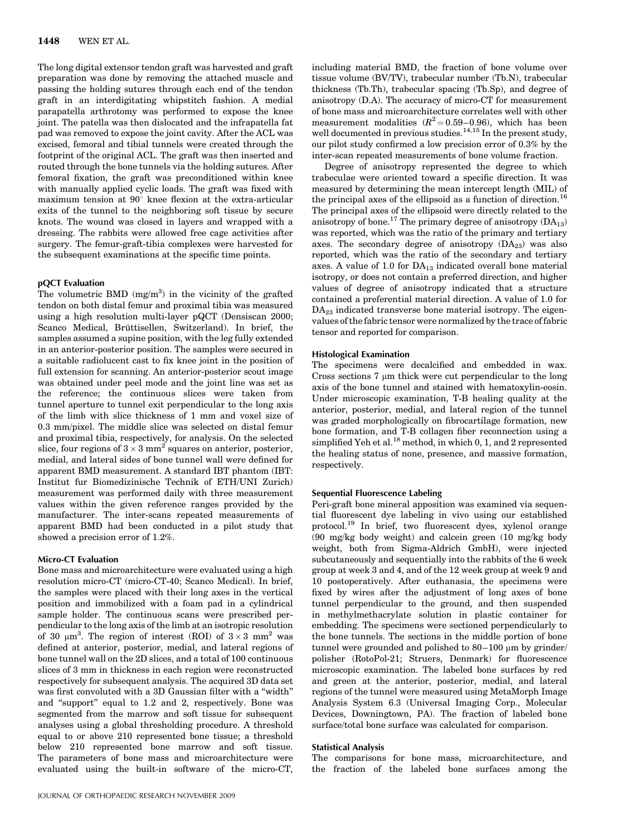The long digital extensor tendon graft was harvested and graft preparation was done by removing the attached muscle and passing the holding sutures through each end of the tendon graft in an interdigitating whipstitch fashion. A medial parapatella arthrotomy was performed to expose the knee joint. The patella was then dislocated and the infrapatella fat pad was removed to expose the joint cavity. After the ACL was excised, femoral and tibial tunnels were created through the footprint of the original ACL. The graft was then inserted and routed through the bone tunnels via the holding sutures. After femoral fixation, the graft was preconditioned within knee with manually applied cyclic loads. The graft was fixed with maximum tension at  $90^{\circ}$  knee flexion at the extra-articular exits of the tunnel to the neighboring soft tissue by secure knots. The wound was closed in layers and wrapped with a dressing. The rabbits were allowed free cage activities after surgery. The femur-graft-tibia complexes were harvested for the subsequent examinations at the specific time points.

#### pQCT Evaluation

The volumetric BMD  $(mg/m^3)$  in the vicinity of the grafted tendon on both distal femur and proximal tibia was measured using a high resolution multi-layer pQCT (Densiscan 2000; Scanco Medical, Brüttisellen, Switzerland). In brief, the samples assumed a supine position, with the leg fully extended in an anterior-posterior position. The samples were secured in a suitable radiolucent cast to fix knee joint in the position of full extension for scanning. An anterior-posterior scout image was obtained under peel mode and the joint line was set as the reference; the continuous slices were taken from tunnel aperture to tunnel exit perpendicular to the long axis of the limb with slice thickness of 1 mm and voxel size of 0.3 mm/pixel. The middle slice was selected on distal femur and proximal tibia, respectively, for analysis. On the selected slice, four regions of  $3 \times 3$  mm<sup>2</sup> squares on anterior, posterior, medial, and lateral sides of bone tunnel wall were defined for apparent BMD measurement. A standard IBT phantom (IBT: Institut fur Biomedizinische Technik of ETH/UNI Zurich) measurement was performed daily with three measurement values within the given reference ranges provided by the manufacturer. The inter-scans repeated measurements of apparent BMD had been conducted in a pilot study that showed a precision error of 1.2%.

#### Micro-CT Evaluation

Bone mass and microarchitecture were evaluated using a high resolution micro-CT (micro-CT-40; Scanco Medical). In brief, the samples were placed with their long axes in the vertical position and immobilized with a foam pad in a cylindrical sample holder. The continuous scans were prescribed perpendicular to the long axis of the limb at an isotropic resolution of 30  $\mu$ m<sup>3</sup>. The region of interest (ROI) of  $3 \times 3$  mm<sup>2</sup> was defined at anterior, posterior, medial, and lateral regions of bone tunnel wall on the 2D slices, and a total of 100 continuous slices of 3 mm in thickness in each region were reconstructed respectively for subsequent analysis. The acquired 3D data set was first convoluted with a 3D Gaussian filter with a ''width'' and ''support'' equal to 1.2 and 2, respectively. Bone was segmented from the marrow and soft tissue for subsequent analyses using a global thresholding procedure. A threshold equal to or above 210 represented bone tissue; a threshold below 210 represented bone marrow and soft tissue. The parameters of bone mass and microarchitecture were evaluated using the built-in software of the micro-CT,

including material BMD, the fraction of bone volume over tissue volume (BV/TV), trabecular number (Tb.N), trabecular thickness (Tb.Th), trabecular spacing (Tb.Sp), and degree of anisotropy (D.A). The accuracy of micro-CT for measurement of bone mass and microarchitecture correlates well with other measurement modalities  $(R^2 = 0.59 - 0.96)$ , which has been well documented in previous studies.<sup>14,15</sup> In the present study, our pilot study confirmed a low precision error of 0.3% by the inter-scan repeated measurements of bone volume fraction.

Degree of anisotropy represented the degree to which trabeculae were oriented toward a specific direction. It was measured by determining the mean intercept length (MIL) of the principal axes of the ellipsoid as a function of direction.<sup>16</sup> The principal axes of the ellipsoid were directly related to the anisotropy of bone.<sup>17</sup> The primary degree of anisotropy  $(DA_{13})$ was reported, which was the ratio of the primary and tertiary axes. The secondary degree of anisotropy  $(DA_{23})$  was also reported, which was the ratio of the secondary and tertiary axes. A value of  $1.0$  for  $DA_{13}$  indicated overall bone material isotropy, or does not contain a preferred direction, and higher values of degree of anisotropy indicated that a structure contained a preferential material direction. A value of 1.0 for  $DA_{23}$  indicated transverse bone material isotropy. The eigenvalues of the fabric tensor were normalized by the trace of fabric tensor and reported for comparison.

#### Histological Examination

The specimens were decalcified and embedded in wax. Cross sections  $7 \mu m$  thick were cut perpendicular to the long axis of the bone tunnel and stained with hematoxylin-eosin. Under microscopic examination, T-B healing quality at the anterior, posterior, medial, and lateral region of the tunnel was graded morphologically on fibrocartilage formation, new bone formation, and T-B collagen fiber reconnection using a simplified Yeh et al.<sup>18</sup> method, in which 0, 1, and 2 represented the healing status of none, presence, and massive formation, respectively.

#### Sequential Fluorescence Labeling

Peri-graft bone mineral apposition was examined via sequential fluorescent dye labeling in vivo using our established protocol.<sup>19</sup> In brief, two fluorescent dyes, xylenol orange (90 mg/kg body weight) and calcein green (10 mg/kg body weight, both from Sigma-Aldrich GmbH), were injected subcutaneously and sequentially into the rabbits of the 6 week group at week 3 and 4, and of the 12 week group at week 9 and 10 postoperatively. After euthanasia, the specimens were fixed by wires after the adjustment of long axes of bone tunnel perpendicular to the ground, and then suspended in methylmethacrylate solution in plastic container for embedding. The specimens were sectioned perpendicularly to the bone tunnels. The sections in the middle portion of bone tunnel were grounded and polished to  $80-100 \mu m$  by grinder/ polisher (RotoPol-21; Struers, Denmark) for fluorescence microscopic examination. The labeled bone surfaces by red and green at the anterior, posterior, medial, and lateral regions of the tunnel were measured using MetaMorph Image Analysis System 6.3 (Universal Imaging Corp., Molecular Devices, Downingtown, PA). The fraction of labeled bone surface/total bone surface was calculated for comparison.

#### Statistical Analysis

The comparisons for bone mass, microarchitecture, and the fraction of the labeled bone surfaces among the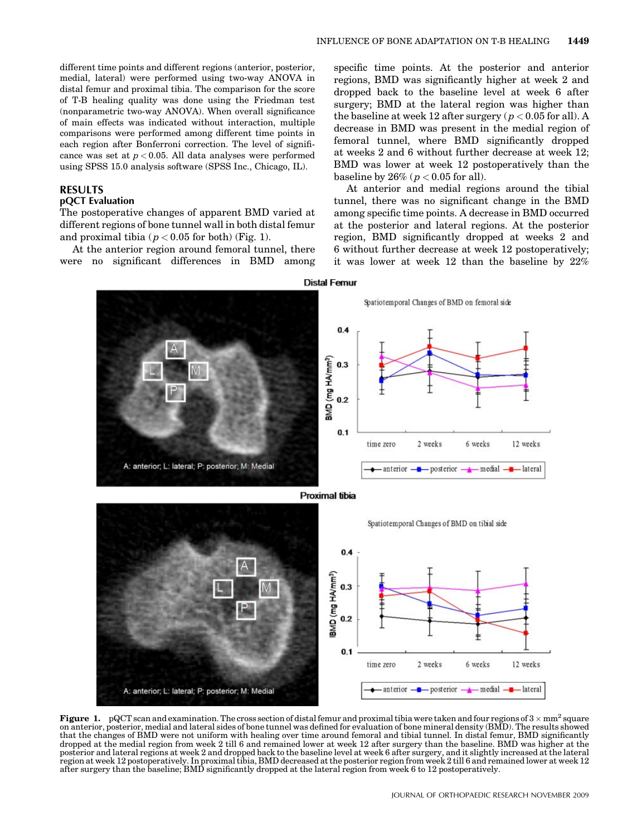different time points and different regions (anterior, posterior, medial, lateral) were performed using two-way ANOVA in distal femur and proximal tibia. The comparison for the score of T-B healing quality was done using the Friedman test (nonparametric two-way ANOVA). When overall significance of main effects was indicated without interaction, multiple comparisons were performed among different time points in each region after Bonferroni correction. The level of significance was set at  $p < 0.05$ . All data analyses were performed using SPSS 15.0 analysis software (SPSS Inc., Chicago, IL).

# RESULTS

## pQCT Evaluation

The postoperative changes of apparent BMD varied at different regions of bone tunnel wall in both distal femur and proximal tibia ( $p < 0.05$  for both) (Fig. 1).

At the anterior region around femoral tunnel, there were no significant differences in BMD among

specific time points. At the posterior and anterior regions, BMD was significantly higher at week 2 and dropped back to the baseline level at week 6 after surgery; BMD at the lateral region was higher than the baseline at week 12 after surgery ( $p < 0.05$  for all). A decrease in BMD was present in the medial region of femoral tunnel, where BMD significantly dropped at weeks 2 and 6 without further decrease at week 12; BMD was lower at week 12 postoperatively than the baseline by  $26\%$  ( $p < 0.05$  for all).

At anterior and medial regions around the tibial tunnel, there was no significant change in the BMD among specific time points. A decrease in BMD occurred at the posterior and lateral regions. At the posterior region, BMD significantly dropped at weeks 2 and 6 without further decrease at week 12 postoperatively; it was lower at week 12 than the baseline by 22%



**Figure 1.** pQCT scan and examination. The cross section of distal femur and proximal tibia were taken and four regions of  $3 \times \text{mm}^2$  square on anterior, posterior, medial and lateral sides of bone tunnel was defined for evaluation of bone mineral density (BMD). The results showed that the changes of BMD were not uniform with healing over time around femoral and tibial tunnel. In distal femur, BMD significantly dropped at the medial region from week 2 till 6 and remained lower at week 12 after surgery than the baseline. BMD was higher at the posterior and lateral regions at week 2 and dropped back to the baseline level at week 6 after surgery, and it slightly increased at the lateral region at week 12 postoperatively. In proximal tibia, BMD decreased at the posterior region from week 2 till 6 and remained lower at week 12 after surgery than the baseline; BMD significantly dropped at the lateral region from week 6 to 12 postoperatively.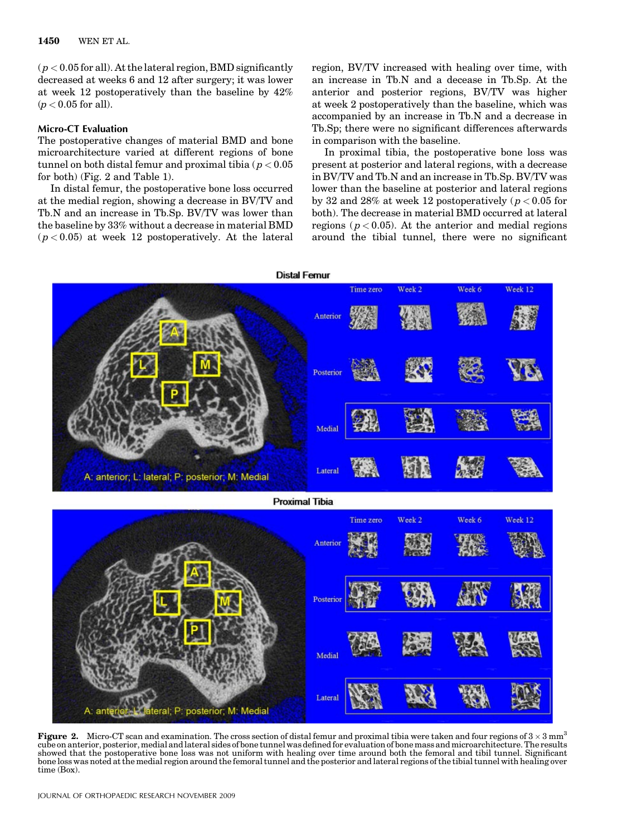$(p < 0.05$  for all). At the lateral region, BMD significantly decreased at weeks 6 and 12 after surgery; it was lower at week 12 postoperatively than the baseline by 42%  $(p < 0.05$  for all).

#### Micro-CT Evaluation

The postoperative changes of material BMD and bone microarchitecture varied at different regions of bone tunnel on both distal femur and proximal tibia ( $p < 0.05$ ) for both) (Fig. 2 and Table 1).

In distal femur, the postoperative bone loss occurred at the medial region, showing a decrease in BV/TV and Tb.N and an increase in Tb.Sp. BV/TV was lower than the baseline by 33% without a decrease in material BMD  $(p < 0.05)$  at week 12 postoperatively. At the lateral region, BV/TV increased with healing over time, with an increase in Tb.N and a decease in Tb.Sp. At the anterior and posterior regions, BV/TV was higher at week 2 postoperatively than the baseline, which was accompanied by an increase in Tb.N and a decrease in Tb.Sp; there were no significant differences afterwards in comparison with the baseline.

In proximal tibia, the postoperative bone loss was present at posterior and lateral regions, with a decrease in BV/TV and Tb.N and an increase in Tb.Sp. BV/TV was lower than the baseline at posterior and lateral regions by 32 and 28% at week 12 postoperatively ( $p < 0.05$  for both). The decrease in material BMD occurred at lateral regions ( $p < 0.05$ ). At the anterior and medial regions around the tibial tunnel, there were no significant



**Figure 2.** Micro-CT scan and examination. The cross section of distal femur and proximal tibia were taken and four regions of  $3 \times 3$  mm<sup>3</sup> cube on anterior, posterior, medial and lateral sides of bone tunnel was defined for evaluation of bone mass and microarchitecture. The results showed that the postoperative bone loss was not uniform with healing over time around both the femoral and tibil tunnel. Significant<br>bone loss was noted at the medial region around the femoral tunnel and the posterior and time (Box).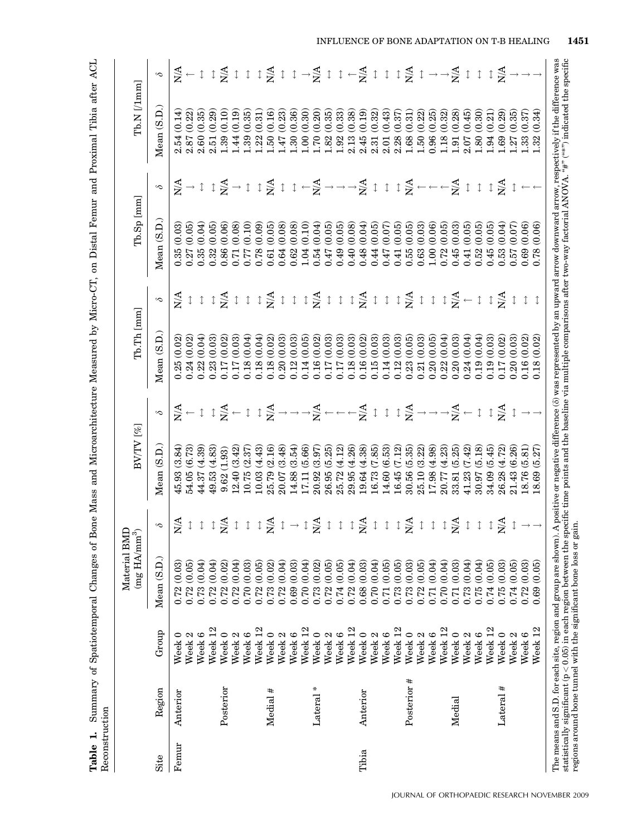|       |             |                                      | Material BMD<br>$(\mathrm{mg}\; \mathrm{H}\mathrm{A}/\mathrm{mm}^3)$                                                                                                                       |                              | $BV$ TV [%]                     |                                                                                                                                                                                                                                                                                                                                | $\Gamma$ b. $\Gamma$ h $\Gamma$ mm |                                                                                                                      | $n.$ Sp $[mm]$ |                  | Tb.N [/1mm]                               |                                                                                                                                                                                              |
|-------|-------------|--------------------------------------|--------------------------------------------------------------------------------------------------------------------------------------------------------------------------------------------|------------------------------|---------------------------------|--------------------------------------------------------------------------------------------------------------------------------------------------------------------------------------------------------------------------------------------------------------------------------------------------------------------------------|------------------------------------|----------------------------------------------------------------------------------------------------------------------|----------------|------------------|-------------------------------------------|----------------------------------------------------------------------------------------------------------------------------------------------------------------------------------------------|
| Site  | Region      | Group                                | Mean (S.D.)                                                                                                                                                                                | δ                            | Mean (S.D.)                     | $\infty$                                                                                                                                                                                                                                                                                                                       | Mean (S.D.                         | $\infty$                                                                                                             | Mean (S.D.)    | $\infty$         | Mean (S.D.)                               | $\infty$                                                                                                                                                                                     |
| Femur | Anterior    | Week <sub>0</sub>                    | (0.03)<br>0.72                                                                                                                                                                             | N/A                          | (3.84)<br>45.93                 |                                                                                                                                                                                                                                                                                                                                | (0.02)<br>0.25                     | $\frac{A}{N}$                                                                                                        | (0.03)<br>0.35 |                  | (0.14)<br>2.54                            | $\frac{\mathbf{A}}{\mathbf{A}}$                                                                                                                                                              |
|       |             | Week <sub>2</sub>                    | 0.72(0.05)                                                                                                                                                                                 |                              | 54.05 (6.73)                    | $\sum_{i=1}^{n}(-1)^{i}(\sum_{i=1}^{n}(-1)^{i})\sum_{i=1}^{n}(-1)^{i}(\sum_{i=1}^{n}(-1)^{i})\sum_{i=1}^{n}(-1)^{i}(\sum_{i=1}^{n}(-1)^{i})\sum_{i=1}^{n}(-1)^{i}(\sum_{i=1}^{n}(-1)^{i})\sum_{i=1}^{n}(-1)^{i}(\sum_{i=1}^{n}(-1)^{i})\sum_{i=1}^{n}(-1)^{i}(\sum_{i=1}^{n}(-1)^{i})\sum_{i=1}^{n}(-1)^{i}(\sum_{i=1}^{n}(-1$ | (0.02)<br>0.24                     |                                                                                                                      | (0.05)<br>0.27 |                  | (0.22)<br>$2.87\,$                        | $\longleftarrow$                                                                                                                                                                             |
|       |             | Week 6                               | 0.73(0.04)                                                                                                                                                                                 | 111211121-121112111211121112 | 44.37 (4.39)                    |                                                                                                                                                                                                                                                                                                                                | (0.04)<br>0.22                     | $111\frac{5}{2}111\frac{1}{2}111\frac{1}{2}111\frac{1}{2}111\frac{1}{2}111\frac{1}{2}111\frac{1}{2}111\frac{1}{2}+1$ | (0.04)<br>0.35 |                  | (0.35)<br>2.60                            | $\updownarrow$                                                                                                                                                                               |
|       |             | Week 12                              | (0.04)<br>0.72                                                                                                                                                                             |                              | 49.53 (4.83)                    |                                                                                                                                                                                                                                                                                                                                | (0.03)<br>0.23                     |                                                                                                                      | (0.05)<br>0.32 |                  | (0.29)<br>2.51                            | $\updownarrow$                                                                                                                                                                               |
|       | Posterior   | Week <sub>0</sub>                    | (0.02)<br>0.72                                                                                                                                                                             |                              | 9.62(1.93)                      |                                                                                                                                                                                                                                                                                                                                | (0.02)<br>0.17                     |                                                                                                                      | (0.06)<br>0.86 |                  | (0.10)<br>1.39                            | $\frac{A}{N}$                                                                                                                                                                                |
|       |             | $\boldsymbol{\mathcal{S}}$<br>Week ! | (0.04)<br>0.72                                                                                                                                                                             |                              | 12.40 (3.42)                    |                                                                                                                                                                                                                                                                                                                                | (0.03)<br>0.17                     |                                                                                                                      | (0.08)<br>0.71 |                  | (0.19)<br>1.44                            |                                                                                                                                                                                              |
|       |             | Week 6                               | 0.70(0.03)                                                                                                                                                                                 |                              | 10.75 (2.37)                    |                                                                                                                                                                                                                                                                                                                                | (0.04)<br>0.18                     |                                                                                                                      | (0.10)<br>0.77 |                  | (0.35)<br>1.39                            | $111\frac{5}{2}1$                                                                                                                                                                            |
|       |             | Week 12                              | 0.72(0.05)                                                                                                                                                                                 |                              | 10.03(4.43)                     |                                                                                                                                                                                                                                                                                                                                | (0.04)<br>0.18                     |                                                                                                                      | (0.09)<br>0.78 |                  | (0.31)<br>1.22                            |                                                                                                                                                                                              |
|       | Medial $\#$ | Week <sub>0</sub>                    | 0.73(0.02)                                                                                                                                                                                 |                              | 25.79 (2.16)                    |                                                                                                                                                                                                                                                                                                                                | (0.02)<br>0.18                     |                                                                                                                      | (0.05)<br>0.61 |                  | (0.16)<br>1.50                            |                                                                                                                                                                                              |
|       |             | Week <sub>2</sub>                    | (0.04)<br>0.72                                                                                                                                                                             |                              | 20.07 (3.48)                    |                                                                                                                                                                                                                                                                                                                                | (0.03)<br>0.20                     |                                                                                                                      | (0.08)<br>0.64 |                  | (0.23)<br>1.47                            |                                                                                                                                                                                              |
|       |             | Week 6                               | (0.03)<br>0.69                                                                                                                                                                             |                              | (3.54)<br>14.88                 |                                                                                                                                                                                                                                                                                                                                | (0.03)<br>0.12                     |                                                                                                                      | (0.08)<br>0.62 |                  | (0.36)<br>1.30                            |                                                                                                                                                                                              |
|       |             | Week <sub>12</sub>                   | 0.70(0.04)                                                                                                                                                                                 |                              | (5.66)<br>17.11                 |                                                                                                                                                                                                                                                                                                                                | (0.05)<br>0.14                     |                                                                                                                      | (0.10)<br>1.04 |                  | (0.30)<br>1.00                            |                                                                                                                                                                                              |
|       | Lateral *   | Week <sub>0</sub>                    | 0.73(0.02)                                                                                                                                                                                 |                              | (3.97)<br>20.92                 |                                                                                                                                                                                                                                                                                                                                | (0.02)<br>0.16                     |                                                                                                                      | (0.04)<br>0.54 |                  | (0.20)<br>1.70                            | $1 \rightarrow \stackrel{\mathcal{A}}{\simeq} 1 1 \leftarrow \stackrel{\mathcal{A}}{\simeq} 1 1 1 \stackrel{\mathcal{A}}{\simeq} 1 \rightarrow \rightarrow \stackrel{\mathcal{A}}{\simeq} 1$ |
|       |             | Week <sub>2</sub>                    | (0.05)<br>0.72                                                                                                                                                                             |                              | (5.25)<br>26.95                 |                                                                                                                                                                                                                                                                                                                                | (0.03)<br>0.17                     |                                                                                                                      | (0.05)<br>0.47 |                  | (0.35)<br>1.82                            |                                                                                                                                                                                              |
|       |             | Week 6                               | (0.05)<br>0.74                                                                                                                                                                             |                              | (4.12)<br>25.72                 |                                                                                                                                                                                                                                                                                                                                | (0.03)<br>0.17                     |                                                                                                                      | (0.05)<br>0.49 |                  | (0.33)<br>$1.92\,$                        |                                                                                                                                                                                              |
|       |             | Week <sub>12</sub>                   | (0.04)<br>0.72                                                                                                                                                                             |                              | (4.26)<br>29.95                 |                                                                                                                                                                                                                                                                                                                                | (0.03)<br>0.18                     |                                                                                                                      | (0.08)<br>0.40 |                  | (0.38)<br>2.13                            |                                                                                                                                                                                              |
| Tibia | Anterior    | Week <sub>0</sub>                    | (0.03)<br>0.68                                                                                                                                                                             |                              | (4.38)<br>19.64                 |                                                                                                                                                                                                                                                                                                                                | (0.02)<br>0.16                     |                                                                                                                      | (0.04)<br>0.48 |                  | (0.19)<br>2.45                            |                                                                                                                                                                                              |
|       |             | Week <sub>2</sub>                    | 0.70(0.04)                                                                                                                                                                                 |                              | (7.85)<br>16.73                 |                                                                                                                                                                                                                                                                                                                                | (0.03)<br>0.15                     |                                                                                                                      | (0.05)<br>0.44 |                  | (0.32)<br>2.31                            |                                                                                                                                                                                              |
|       |             | Week 6                               | (0.05)<br>0.71                                                                                                                                                                             |                              | (6.53)<br>14.60                 |                                                                                                                                                                                                                                                                                                                                | (0.03)<br>0.14                     |                                                                                                                      | (0.07)<br>0.47 |                  | (0.43)<br>2.01                            |                                                                                                                                                                                              |
|       |             | Week $12$                            | (0.05)<br>0.73                                                                                                                                                                             |                              | (7.12)<br>16.45                 |                                                                                                                                                                                                                                                                                                                                | (0.03)<br>0.12                     |                                                                                                                      | (0.05)<br>0.41 |                  | (0.37)<br>2.28                            |                                                                                                                                                                                              |
|       | Posterior # | Week <sub>0</sub>                    | (0.03)<br>0.73                                                                                                                                                                             |                              | (5.35)<br>30.56                 |                                                                                                                                                                                                                                                                                                                                | (0.05)<br>0.23                     |                                                                                                                      | (0.05)<br>0.55 |                  | (0.31)<br>1.68                            |                                                                                                                                                                                              |
|       |             | Week <sub>2</sub>                    | (0.05)<br>0.72                                                                                                                                                                             |                              | (3.22)<br>25.10                 |                                                                                                                                                                                                                                                                                                                                | (0.03)<br>0.21                     |                                                                                                                      | (0.03)<br>0.63 |                  | (0.22)<br>1.50                            |                                                                                                                                                                                              |
|       |             | Week 6                               | (0.04)<br>0.71                                                                                                                                                                             |                              | (4.98)<br>17.98                 |                                                                                                                                                                                                                                                                                                                                | (0.05)<br>0.20                     |                                                                                                                      | (0.06)<br>1.00 |                  | (0.25)<br>0.96                            |                                                                                                                                                                                              |
|       |             | Week $12$                            | 0.70(0.04)                                                                                                                                                                                 |                              | (4.23)<br>20.77                 |                                                                                                                                                                                                                                                                                                                                | (0.04)<br>0.22                     |                                                                                                                      | (0.05)<br>0.72 |                  | (0.32)<br>1.18                            |                                                                                                                                                                                              |
|       | Medial      | Week <sub>0</sub>                    | 0.71(0.03)                                                                                                                                                                                 |                              | (5.25)<br>33.81                 |                                                                                                                                                                                                                                                                                                                                | (0.03)<br>0.20                     |                                                                                                                      | (0.03)<br>0.45 |                  | (0.28)<br>1.91                            |                                                                                                                                                                                              |
|       |             | Week <sub>2</sub>                    | 0.73(0.04)                                                                                                                                                                                 |                              | (7.42)<br>41.23                 |                                                                                                                                                                                                                                                                                                                                | (0.04)<br>0.24                     |                                                                                                                      | (0.05)<br>0.41 |                  | (0.45)<br>$2.07$                          |                                                                                                                                                                                              |
|       |             | Week 6                               | 0.75(0.04)                                                                                                                                                                                 |                              | (5.18)<br>30.97                 |                                                                                                                                                                                                                                                                                                                                | (0.04)<br>0.19                     |                                                                                                                      | (0.05)<br>0.52 | $\updownarrow$   | (0.30)<br>1.80                            | $\updownarrow$                                                                                                                                                                               |
|       |             | Week <sub>12</sub>                   | 0.74(0.05)                                                                                                                                                                                 |                              | (5.45)<br>34.09                 |                                                                                                                                                                                                                                                                                                                                | (0.03)<br>0.19                     |                                                                                                                      | (0.05)<br>0.45 | $\updownarrow$   | (0.21)<br>1.94                            | $\updownarrow$                                                                                                                                                                               |
|       | Lateral $#$ | Week <sub>0</sub>                    | 0.75(0.03)                                                                                                                                                                                 |                              | (4.72)<br>26.28                 | $\sum_{i=1}^{n}$                                                                                                                                                                                                                                                                                                               | (0.02)<br>0.17                     | $\downarrow \frac{4}{2}$                                                                                             | (0.04)<br>0.53 | $\sum_{i=1}^{n}$ | (0.29)<br>1.69                            | $\frac{\mathbf{A}}{\mathbf{A}}$                                                                                                                                                              |
|       |             | Week <sub>2</sub>                    | 0.74(0.05)                                                                                                                                                                                 | $\updownarrow$               | (6.26)<br>21.43                 |                                                                                                                                                                                                                                                                                                                                | (0.03)<br>0.20                     | $\downarrow$                                                                                                         | (0.07)<br>0.57 |                  | (0.35)<br>1.27                            |                                                                                                                                                                                              |
|       |             | Week 6                               | 0.72(0.03)                                                                                                                                                                                 |                              | (5.81)<br>18.76                 | $\longrightarrow$ $\longrightarrow$                                                                                                                                                                                                                                                                                            | (0.02)<br>0.16                     | $I$ $I$                                                                                                              | (0.06)<br>0.69 | $\leftarrow$     | $\overline{37}$<br>$\ddot{\circ}$<br>1.33 |                                                                                                                                                                                              |
|       |             | Week $12$                            | (0.05)<br>0.69                                                                                                                                                                             |                              | (5.27)<br>69<br>$\overline{18}$ |                                                                                                                                                                                                                                                                                                                                | (0.02)<br>0.18                     |                                                                                                                      | (0.06)<br>0.78 |                  | (0.34)<br>1.32                            |                                                                                                                                                                                              |
|       |             |                                      | The means and S.D. for each site, region and group are shown). A positive or negative difference (6) was represented by an upward arrow downward arrow, respectively if the difference was |                              |                                 |                                                                                                                                                                                                                                                                                                                                |                                    |                                                                                                                      |                |                  |                                           |                                                                                                                                                                                              |

Summary of Spatiotemporal Changes of Bone Mass and Microarchitecture Measured by Micro-CT, on Distal Femur and Proximal Tibia after ACL Table 1. Summary of Spatiotemporal Changes of Bone Mass and Microarchitecture Measured by Micro-CT, on Distal Femur and Proximal Tibia after ACL

Reconstruction Reconstruction Table 1.

statistically signi

ficant (p  $<$ 

regions around bone tunnel with the signi

 $<$  0.05) in each region between the speci

ficant bone loss or gain.

fic time points and the baseline via multiple comparisons after two-way factorial ANOVA. " $\#$ " (" $\#$ ") indicated the speci

fic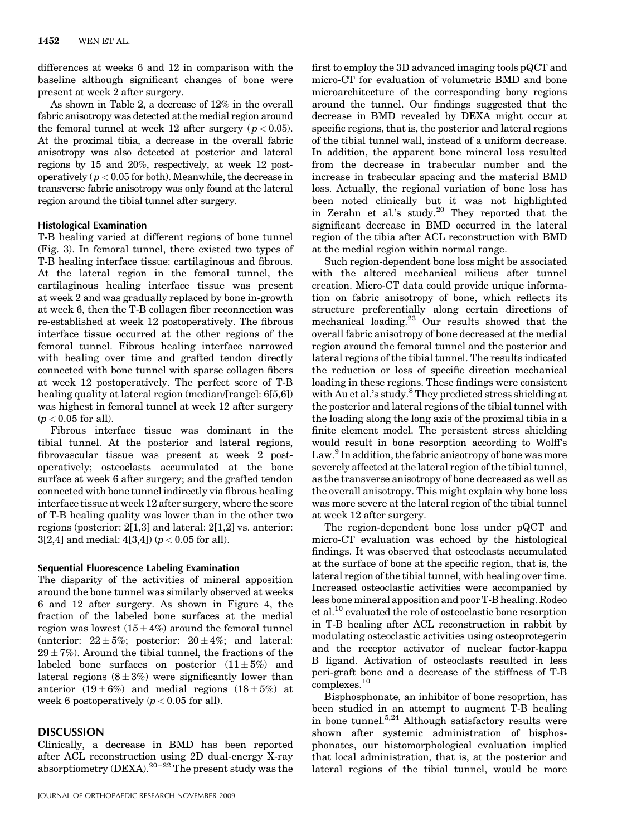differences at weeks 6 and 12 in comparison with the baseline although significant changes of bone were present at week 2 after surgery.

As shown in Table 2, a decrease of 12% in the overall fabric anisotropy was detected at the medial region around the femoral tunnel at week 12 after surgery ( $p < 0.05$ ). At the proximal tibia, a decrease in the overall fabric anisotropy was also detected at posterior and lateral regions by 15 and 20%, respectively, at week 12 postoperatively ( $p < 0.05$  for both). Meanwhile, the decrease in transverse fabric anisotropy was only found at the lateral region around the tibial tunnel after surgery.

#### Histological Examination

T-B healing varied at different regions of bone tunnel (Fig. 3). In femoral tunnel, there existed two types of T-B healing interface tissue: cartilaginous and fibrous. At the lateral region in the femoral tunnel, the cartilaginous healing interface tissue was present at week 2 and was gradually replaced by bone in-growth at week 6, then the T-B collagen fiber reconnection was re-established at week 12 postoperatively. The fibrous interface tissue occurred at the other regions of the femoral tunnel. Fibrous healing interface narrowed with healing over time and grafted tendon directly connected with bone tunnel with sparse collagen fibers at week 12 postoperatively. The perfect score of T-B healing quality at lateral region (median/[range]: 6[5,6]) was highest in femoral tunnel at week 12 after surgery  $(p < 0.05$  for all).

Fibrous interface tissue was dominant in the tibial tunnel. At the posterior and lateral regions, fibrovascular tissue was present at week 2 postoperatively; osteoclasts accumulated at the bone surface at week 6 after surgery; and the grafted tendon connected with bone tunnel indirectly via fibrous healing interface tissue at week 12 after surgery, where the score of T-B healing quality was lower than in the other two regions (posterior: 2[1,3] and lateral: 2[1,2] vs. anterior:  $3[2,4]$  and medial:  $4[3,4]$ ) ( $p < 0.05$  for all).

#### Sequential Fluorescence Labeling Examination

The disparity of the activities of mineral apposition around the bone tunnel was similarly observed at weeks 6 and 12 after surgery. As shown in Figure 4, the fraction of the labeled bone surfaces at the medial region was lowest  $(15 \pm 4\%)$  around the femoral tunnel (anterior:  $22 \pm 5\%$ ; posterior:  $20 \pm 4\%$ ; and lateral:  $29 \pm 7\%$ ). Around the tibial tunnel, the fractions of the labeled bone surfaces on posterior  $(11 \pm 5\%)$  and lateral regions  $(8 \pm 3\%)$  were significantly lower than anterior  $(19 \pm 6\%)$  and medial regions  $(18 \pm 5\%)$  at week 6 postoperatively  $(p < 0.05$  for all).

### DISCUSSION

Clinically, a decrease in BMD has been reported after ACL reconstruction using 2D dual-energy X-ray absorptiometry  $(DEXA)^{20-22}$  The present study was the first to employ the 3D advanced imaging tools pQCT and micro-CT for evaluation of volumetric BMD and bone microarchitecture of the corresponding bony regions around the tunnel. Our findings suggested that the decrease in BMD revealed by DEXA might occur at specific regions, that is, the posterior and lateral regions of the tibial tunnel wall, instead of a uniform decrease. In addition, the apparent bone mineral loss resulted from the decrease in trabecular number and the increase in trabecular spacing and the material BMD loss. Actually, the regional variation of bone loss has been noted clinically but it was not highlighted in Zerahn et al.'s study. $^{20}$  They reported that the significant decrease in BMD occurred in the lateral region of the tibia after ACL reconstruction with BMD at the medial region within normal range.

Such region-dependent bone loss might be associated with the altered mechanical milieus after tunnel creation. Micro-CT data could provide unique information on fabric anisotropy of bone, which reflects its structure preferentially along certain directions of mechanical loading. $^{23}$  Our results showed that the overall fabric anisotropy of bone decreased at the medial region around the femoral tunnel and the posterior and lateral regions of the tibial tunnel. The results indicated the reduction or loss of specific direction mechanical loading in these regions. These findings were consistent with Au et al.'s study.<sup>8</sup> They predicted stress shielding at the posterior and lateral regions of the tibial tunnel with the loading along the long axis of the proximal tibia in a finite element model. The persistent stress shielding would result in bone resorption according to Wolff's Law.<sup>9</sup> In addition, the fabric anisotropy of bone was more severely affected at the lateral region of the tibial tunnel, as the transverse anisotropy of bone decreased as well as the overall anisotropy. This might explain why bone loss was more severe at the lateral region of the tibial tunnel at week 12 after surgery.

The region-dependent bone loss under pQCT and micro-CT evaluation was echoed by the histological findings. It was observed that osteoclasts accumulated at the surface of bone at the specific region, that is, the lateral region of the tibial tunnel, with healing over time. Increased osteoclastic activities were accompanied by less bone mineral apposition and poor T-B healing. Rodeo et al.10 evaluated the role of osteoclastic bone resorption in T-B healing after ACL reconstruction in rabbit by modulating osteoclastic activities using osteoprotegerin and the receptor activator of nuclear factor-kappa B ligand. Activation of osteoclasts resulted in less peri-graft bone and a decrease of the stiffness of T-B complexes.<sup>10</sup>

Bisphosphonate, an inhibitor of bone resoprtion, has been studied in an attempt to augment T-B healing in bone tunnel.<sup>5,24</sup> Although satisfactory results were shown after systemic administration of bisphosphonates, our histomorphological evaluation implied that local administration, that is, at the posterior and lateral regions of the tibial tunnel, would be more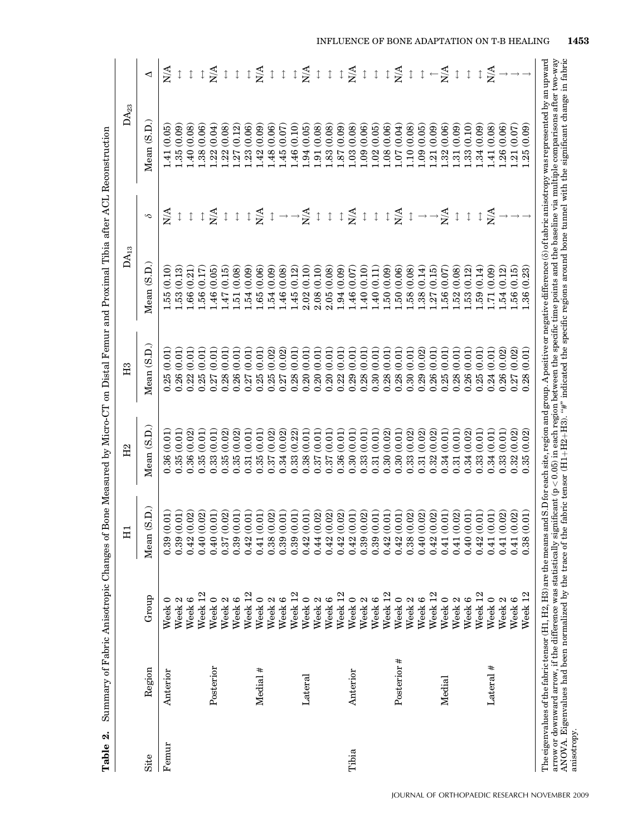| Table 2.    |                                                            |                                    |                                              |                |                | Summary of Fabric Anisotropic Changes of Bone Measured by Micro-CT on Distal Femur and Proximal Tibia after ACL Reconstruction |                                                                    |                                                                                                                                                                                                                                                                                                                                                                                                                                                                                                                             |                                                       |
|-------------|------------------------------------------------------------|------------------------------------|----------------------------------------------|----------------|----------------|--------------------------------------------------------------------------------------------------------------------------------|--------------------------------------------------------------------|-----------------------------------------------------------------------------------------------------------------------------------------------------------------------------------------------------------------------------------------------------------------------------------------------------------------------------------------------------------------------------------------------------------------------------------------------------------------------------------------------------------------------------|-------------------------------------------------------|
|             |                                                            |                                    | $\Xi$                                        | H <sub>2</sub> | H <sub>3</sub> | $DA_{13}$                                                                                                                      |                                                                    | $DA_{23}$                                                                                                                                                                                                                                                                                                                                                                                                                                                                                                                   |                                                       |
| Site        | Region                                                     | Group                              | Mean (S.D.)                                  | Mean (S.D.)    | Mean(S.D.)     | Mean (S.D.)                                                                                                                    | S                                                                  | Mean(S.D.)                                                                                                                                                                                                                                                                                                                                                                                                                                                                                                                  | ◁                                                     |
| Femur       | Anterior                                                   | Week <sub>0</sub>                  | $\overline{1}$<br>0.39(0.                    | (0.01)<br>0.36 | (0.01)<br>0.25 | (0.10)<br>1.55                                                                                                                 | $\frac{A}{N}$                                                      | (0.05)<br>1.41                                                                                                                                                                                                                                                                                                                                                                                                                                                                                                              | $\frac{A}{N}$                                         |
|             |                                                            | Week <sub>2</sub>                  | $\overline{1}$<br>0.39(0.                    | (0.01)<br>0.35 | (0.01)<br>0.26 | (0.13)<br>1.53                                                                                                                 | $\updownarrow$                                                     | (0.09)<br>1.35                                                                                                                                                                                                                                                                                                                                                                                                                                                                                                              | $\updownarrow$                                        |
|             |                                                            | Week 6                             | $\overline{2}$<br>$\circ$<br>0.42            | (0.02)<br>0.36 | (0.01)<br>0.22 | (0.21)<br>1.66                                                                                                                 | $\updownarrow$                                                     | (0.08)<br>1.40                                                                                                                                                                                                                                                                                                                                                                                                                                                                                                              | $\updownarrow$                                        |
|             |                                                            | Week 12                            | (2)<br>0.40(0.                               | (0.01)<br>0.35 | (0.01)<br>0.25 | (0.17)<br>1.56                                                                                                                 | $\updownarrow$                                                     | (0.06)<br>1.38                                                                                                                                                                                                                                                                                                                                                                                                                                                                                                              | $\updownarrow$                                        |
|             | Posterior                                                  | $\circ$<br>Week                    | $\Xi$<br>$\dot{\circ}$<br>0.40               | (0.01)<br>0.33 | (0.01)<br>0.27 | (0.05)<br>1.46                                                                                                                 | $\frac{A}{N}$                                                      | (0.04)<br>1.22                                                                                                                                                                                                                                                                                                                                                                                                                                                                                                              | $\sum_{i=1}^{n}$                                      |
|             |                                                            | $\mathbf{\Omega}$<br>Week          | $\overline{2}$<br>ë<br>0.37                  | (0.02)<br>0.35 | (0.01)<br>0.28 | (0.15)<br>1.47                                                                                                                 |                                                                    | (0.08)<br>1.22                                                                                                                                                                                                                                                                                                                                                                                                                                                                                                              | $\updownarrow$                                        |
|             |                                                            | Week 6                             | $\overline{0}$<br>$\dot{\circ}$<br>0.39      | (0.02)<br>0.35 | (0.01)<br>0.26 | (0.08)<br>1.51                                                                                                                 | $\updownarrow$ $\updownarrow$                                      | (0.12)<br>1.27                                                                                                                                                                                                                                                                                                                                                                                                                                                                                                              | $\updownarrow$                                        |
|             |                                                            | Week 12                            | $\overline{0}$<br>ë<br>0.42                  | (0.01)<br>0.31 | (0.01)<br>0.27 | (0.09)<br>1.54                                                                                                                 | $\updownarrow$                                                     | (0.06)<br>1.23                                                                                                                                                                                                                                                                                                                                                                                                                                                                                                              | $\updownarrow$                                        |
|             | Medial $#$                                                 | Week <sub>0</sub>                  | $\overline{1}$<br>ë<br>0.41                  | (0.01)<br>0.35 | (0.01)<br>0.25 | (0.06)<br>1.65                                                                                                                 | $\sum_{i=1}^{n}$ $\uparrow \rightarrow \rightarrow \sum_{i=1}^{n}$ | (0.09)<br>1.42                                                                                                                                                                                                                                                                                                                                                                                                                                                                                                              | N/A                                                   |
|             |                                                            | $\boldsymbol{\mathcal{S}}$<br>Week | $\widetilde{2}$<br>$\dot{\circ}$<br>0.38     | (0.02)<br>0.37 | (0.02)<br>0.25 | (0.09)<br>1.54                                                                                                                 |                                                                    | (0.06)<br>1.48                                                                                                                                                                                                                                                                                                                                                                                                                                                                                                              | $\updownarrow$                                        |
|             |                                                            | $\circ$<br>Week                    | $\overline{1}$<br>ë<br>0.39                  | (0.02)<br>0.34 | (0.02)<br>0.27 | (0.08)<br>1.46                                                                                                                 |                                                                    | (0.07)<br>1.45                                                                                                                                                                                                                                                                                                                                                                                                                                                                                                              |                                                       |
|             |                                                            | Week 12                            | $\overline{1}$<br>ë<br>0.39                  | (0.22)<br>0.33 | (0.01)<br>0.28 | (0.12)<br>1.45                                                                                                                 |                                                                    | (0.10)<br>1.46                                                                                                                                                                                                                                                                                                                                                                                                                                                                                                              | $\updownarrow~\updownarrow$                           |
|             | $_{\rm Lateral}$                                           | Week <sub>0</sub>                  | $\overline{0}$<br>$\dot{\circ}$<br>0.42      | (0.01)<br>0.38 | (0.01)<br>0.20 | (0.10)<br>2.02                                                                                                                 |                                                                    | (0.05)<br>1.94                                                                                                                                                                                                                                                                                                                                                                                                                                                                                                              | N/A                                                   |
|             |                                                            | $\boldsymbol{\alpha}$<br>Week      | (2)<br>ë<br>0.44                             | (0.01)<br>0.37 | (0.01)<br>0.20 | (0.10)<br>2.08                                                                                                                 | $\updownarrow$                                                     | (0.08)<br>1.91                                                                                                                                                                                                                                                                                                                                                                                                                                                                                                              | $\updownarrow$                                        |
|             |                                                            | $\circ$<br>Week                    | (50)<br>$\dot{\circ}$<br>0.42                | (0.01)<br>0.37 | (0.01)<br>0.20 | (0.08)<br>2.05                                                                                                                 | $\updownarrow$                                                     | (0.08)<br>1.83                                                                                                                                                                                                                                                                                                                                                                                                                                                                                                              | $\updownarrow$                                        |
|             |                                                            | Week 12                            | (50)<br>$\dot{\circ}$<br>0.42                | (0.01)<br>0.36 | (0.01)<br>0.22 | (0.09)<br>1.94                                                                                                                 |                                                                    | (0.09)<br>1.87                                                                                                                                                                                                                                                                                                                                                                                                                                                                                                              |                                                       |
| Tibia       | Anterior                                                   | Week <sub>0</sub>                  | $\overline{1}$<br>ë<br>0.42                  | (0.01)<br>0.30 | (0.01)<br>0.29 | (0.07)<br>1.46                                                                                                                 | $I \nleq I$                                                        | (0.08)<br>1.03                                                                                                                                                                                                                                                                                                                                                                                                                                                                                                              |                                                       |
|             |                                                            | $\boldsymbol{\mathcal{S}}$<br>Week | (50)<br>$\dot{\circ}$<br>0.39                | (0.01)<br>0.33 | (0.01)<br>0.28 | (0.10)<br>1.40                                                                                                                 |                                                                    | (0.06)<br>1.09                                                                                                                                                                                                                                                                                                                                                                                                                                                                                                              |                                                       |
|             |                                                            | $\circ$<br>Week                    | $\widehat{E}$<br>$\dot{\circ}$<br>0.39       | (0.01)<br>0.31 | (0.01)<br>0.30 | (0.11)<br>1.40                                                                                                                 | $\updownarrow$ $\updownarrow$                                      | (0.05)<br>1.02                                                                                                                                                                                                                                                                                                                                                                                                                                                                                                              |                                                       |
|             |                                                            | $\overline{5}$<br>Week             | $\overline{0}$<br>$\dot{\circ}$<br>0.42      | (0.02)<br>0.30 | (0.01)<br>0.28 | (0.09)<br>1.50                                                                                                                 |                                                                    | (0.06)<br>1.08                                                                                                                                                                                                                                                                                                                                                                                                                                                                                                              | $\updownarrow \  \  \updownarrow$                     |
|             | Posterior#                                                 | Week <sub>0</sub>                  | $\overline{0}$<br>$\dot{\circ}$<br>0.42      | (0.01)<br>0.30 | (0.01)<br>0.28 | (0.06)<br>1.50                                                                                                                 |                                                                    | (0.04)<br>1.07                                                                                                                                                                                                                                                                                                                                                                                                                                                                                                              | N/A                                                   |
|             |                                                            | Week <sub>2</sub>                  | (2)<br>$\dot{\circ}$<br>0.38                 | (0.02)<br>0.33 | (0.01)<br>0.30 | (0.08)<br>1.58                                                                                                                 |                                                                    | (0.08)<br>1.10                                                                                                                                                                                                                                                                                                                                                                                                                                                                                                              | $\updownarrow$                                        |
|             |                                                            | $\circ$<br>Week                    | (50)<br>$\dot{\circ}$<br>0.40                | (0.02)<br>0.31 | (0.02)<br>0.29 | (0.14)<br>1.38                                                                                                                 | $\sum_{i=1}^{n}$ $\uparrow \rightarrow \rightarrow \sum_{i=1}^{n}$ | (0.05)<br>1.09                                                                                                                                                                                                                                                                                                                                                                                                                                                                                                              |                                                       |
|             |                                                            | Week 12                            | (2)<br>ë<br>0.42                             | (0.02)<br>0.32 | (0.01)<br>0.26 | (0.15)<br>1.27                                                                                                                 |                                                                    | (0.09)<br>1.21                                                                                                                                                                                                                                                                                                                                                                                                                                                                                                              |                                                       |
|             | Medial                                                     | $\circ$<br>Week                    | $\overline{1}$<br>$\dot{\circ}$<br>0.41      | (0.01)<br>0.34 | (0.01)<br>0.25 | (0.07)<br>1.56                                                                                                                 |                                                                    | (0.06)<br>1.32                                                                                                                                                                                                                                                                                                                                                                                                                                                                                                              | $\mathbb{I} \leftarrow \sum_{i=1}^{n} \mathbb{I}$     |
|             |                                                            | $\boldsymbol{\mathcal{S}}$<br>Week | $\overline{2}$<br>$\dot{\circ}$<br>0.41      | (0.01)<br>0.31 | (0.01)<br>0.28 | (0.08)<br>1.52                                                                                                                 | $\updownarrow$                                                     | (0.09)<br>1.31                                                                                                                                                                                                                                                                                                                                                                                                                                                                                                              |                                                       |
|             |                                                            | Week 6                             | $\overline{c}$<br>$\hat{\mathbf{e}}$<br>0.40 | (0.02)<br>0.34 | (0.01)<br>0.26 | (0.12)<br>1.53                                                                                                                 | $\updownarrow$                                                     | (0.10)<br>1.33                                                                                                                                                                                                                                                                                                                                                                                                                                                                                                              | $\updownarrow$                                        |
|             |                                                            | Week 12                            | $\overline{c}$<br>$\dot{\circ}$<br>0.42      | (0.01)<br>0.33 | (0.01)<br>0.25 | (0.14)<br>1.59                                                                                                                 | $\updownarrow$                                                     | (0.09)<br>1.34                                                                                                                                                                                                                                                                                                                                                                                                                                                                                                              | $\updownarrow$                                        |
|             | Lateral $#$                                                | Week <sub>0</sub>                  | $\overline{1}$<br>$\dot{\circ}$<br>0.41      | (0.01)<br>0.34 | (0.01)<br>0.24 | (0.09)<br>1.71                                                                                                                 | $\frac{A}{N}$                                                      | (0.08)<br>1.41                                                                                                                                                                                                                                                                                                                                                                                                                                                                                                              | N/A                                                   |
|             |                                                            | $\boldsymbol{\mathcal{S}}$<br>Week | (2)<br>$\dot{\circ}$<br>0.41                 | (0.01)<br>0.33 | (0.02)<br>0.26 | (0.12)<br>1.54                                                                                                                 |                                                                    | (0.06)<br>1.26                                                                                                                                                                                                                                                                                                                                                                                                                                                                                                              | $\longrightarrow$ $\longrightarrow$ $\longrightarrow$ |
|             |                                                            | $\circ$<br>Week                    | $\overline{2}$<br>$\dot{\circ}$<br>0.41      | (0.02)<br>0.32 | (0.02)<br>27   | (0.15)<br>$-56$                                                                                                                |                                                                    | (0.07)<br>1.21                                                                                                                                                                                                                                                                                                                                                                                                                                                                                                              |                                                       |
|             |                                                            | Week <sub>12</sub>                 | $\overline{0}$<br>$\hat{\mathbf{c}}$<br>0.38 | (0.02)<br>0.35 | (0.01)<br>28   | (0.23)<br>1.36                                                                                                                 |                                                                    | (0.09)<br>1.25                                                                                                                                                                                                                                                                                                                                                                                                                                                                                                              |                                                       |
|             | ANOVA. Eigenvalues had been normalized by the trace of the |                                    |                                              |                |                |                                                                                                                                |                                                                    | The eigenvalues of the fabric tensor (H1, H2, H3) are the means and S.D for each site, region and group. A positive or negative difference (8) of tabric anisotropy was represented by an upward<br>arrow or downward arrow, if the difference was statistically significant (p < 0.05) in each region between the specific time points and the baseline via multiple comparisons after two-way<br>fabric tensor $(H1+H2+H3)$ . "#" indicated the specific regions around bone tunnel with the significant change in fabric |                                                       |
| anisotropy. |                                                            |                                    |                                              |                |                |                                                                                                                                |                                                                    |                                                                                                                                                                                                                                                                                                                                                                                                                                                                                                                             |                                                       |

JOURNAL OF ORTHOPAEDIC RESEARCH NOVEMBER 2009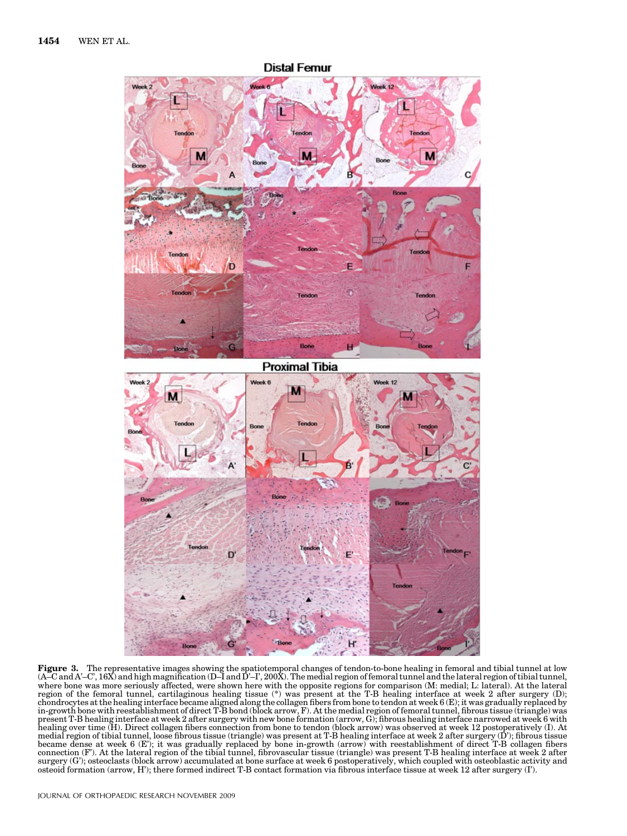

Figure 3. The representative images showing the spatiotemporal changes of tendon-to-bone healing in femoral and tibial tunnel at low (A–C and A'–C', 16X) and high magnification (D–I and D'–I', 200X). The medial region of femoral tunnel and the lateral region of tibial tunnel, where bone was more seriously affected, were shown here with the opposite regions for comparison (M: medial; L: lateral). At the lateral<br>region of the femoral tunnel, cartilaginous healing tissue (\*) was present at the T-B chondrocytes at the healing interface became aligned along the collagen fibers from bone to tendon at week 6 (E); it was gradually replaced by<br>in-growth bone with reestablishment of direct T-B bond (block arrow, F). At the present T-B healing interface at week 2 after surgery with new bone formation (arrow, G); fibrous healing interface narrowed at week 6 with<br>healing over time (H). Direct collagen fibers connection from bone to tendon (bloc connection (F'). At the lateral region of the tibial tunnel, fibrovascular tissue (triangle) was present T-B healing interface at week 2 after<br>surgery (G'); osteoclasts (block arrow) accumulated at bone surface at week 6 p osteoid formation (arrow, H'); there formed indirect T-B contact formation via fibrous interface tissue at week 12 after surgery (I').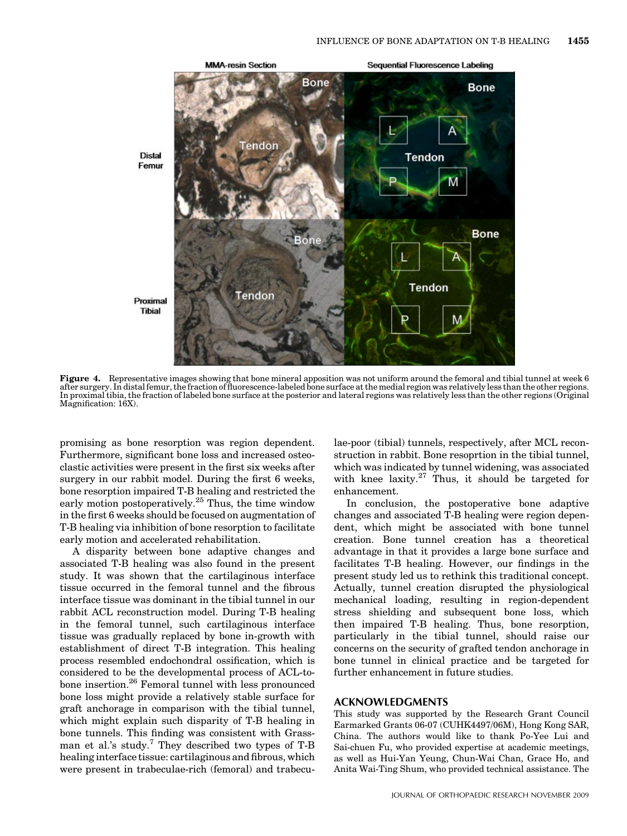

Figure 4. Representative images showing that bone mineral apposition was not uniform around the femoral and tibial tunnel at week 6 after surgery. In distal femur, the fraction of fluorescence-labeled bone surface at the medial region was relatively less than the other regions. In proximal tibia, the fraction of labeled bone surface at the posterior and lateral regions was relatively less than the other regions (Original Magnification: 16X).

promising as bone resorption was region dependent. Furthermore, significant bone loss and increased osteoclastic activities were present in the first six weeks after surgery in our rabbit model. During the first 6 weeks, bone resorption impaired T-B healing and restricted the early motion postoperatively.<sup>25</sup> Thus, the time window in the first 6 weeks should be focused on augmentation of T-B healing via inhibition of bone resorption to facilitate early motion and accelerated rehabilitation.

A disparity between bone adaptive changes and associated T-B healing was also found in the present study. It was shown that the cartilaginous interface tissue occurred in the femoral tunnel and the fibrous interface tissue was dominant in the tibial tunnel in our rabbit ACL reconstruction model. During T-B healing in the femoral tunnel, such cartilaginous interface tissue was gradually replaced by bone in-growth with establishment of direct T-B integration. This healing process resembled endochondral ossification, which is considered to be the developmental process of ACL-tobone insertion.26 Femoral tunnel with less pronounced bone loss might provide a relatively stable surface for graft anchorage in comparison with the tibial tunnel, which might explain such disparity of T-B healing in bone tunnels. This finding was consistent with Grassman et al.'s study.<sup>7</sup> They described two types of T-B healing interface tissue: cartilaginous and fibrous, which were present in trabeculae-rich (femoral) and trabeculae-poor (tibial) tunnels, respectively, after MCL reconstruction in rabbit. Bone resoprtion in the tibial tunnel, which was indicated by tunnel widening, was associated with knee  $laxity.<sup>27</sup>$  Thus, it should be targeted for enhancement.

In conclusion, the postoperative bone adaptive changes and associated T-B healing were region dependent, which might be associated with bone tunnel creation. Bone tunnel creation has a theoretical advantage in that it provides a large bone surface and facilitates T-B healing. However, our findings in the present study led us to rethink this traditional concept. Actually, tunnel creation disrupted the physiological mechanical loading, resulting in region-dependent stress shielding and subsequent bone loss, which then impaired T-B healing. Thus, bone resorption, particularly in the tibial tunnel, should raise our concerns on the security of grafted tendon anchorage in bone tunnel in clinical practice and be targeted for further enhancement in future studies.

## ACKNOWLEDGMENTS

This study was supported by the Research Grant Council Earmarked Grants 06-07 (CUHK4497/06M), Hong Kong SAR, China. The authors would like to thank Po-Yee Lui and Sai-chuen Fu, who provided expertise at academic meetings, as well as Hui-Yan Yeung, Chun-Wai Chan, Grace Ho, and Anita Wai-Ting Shum, who provided technical assistance. The